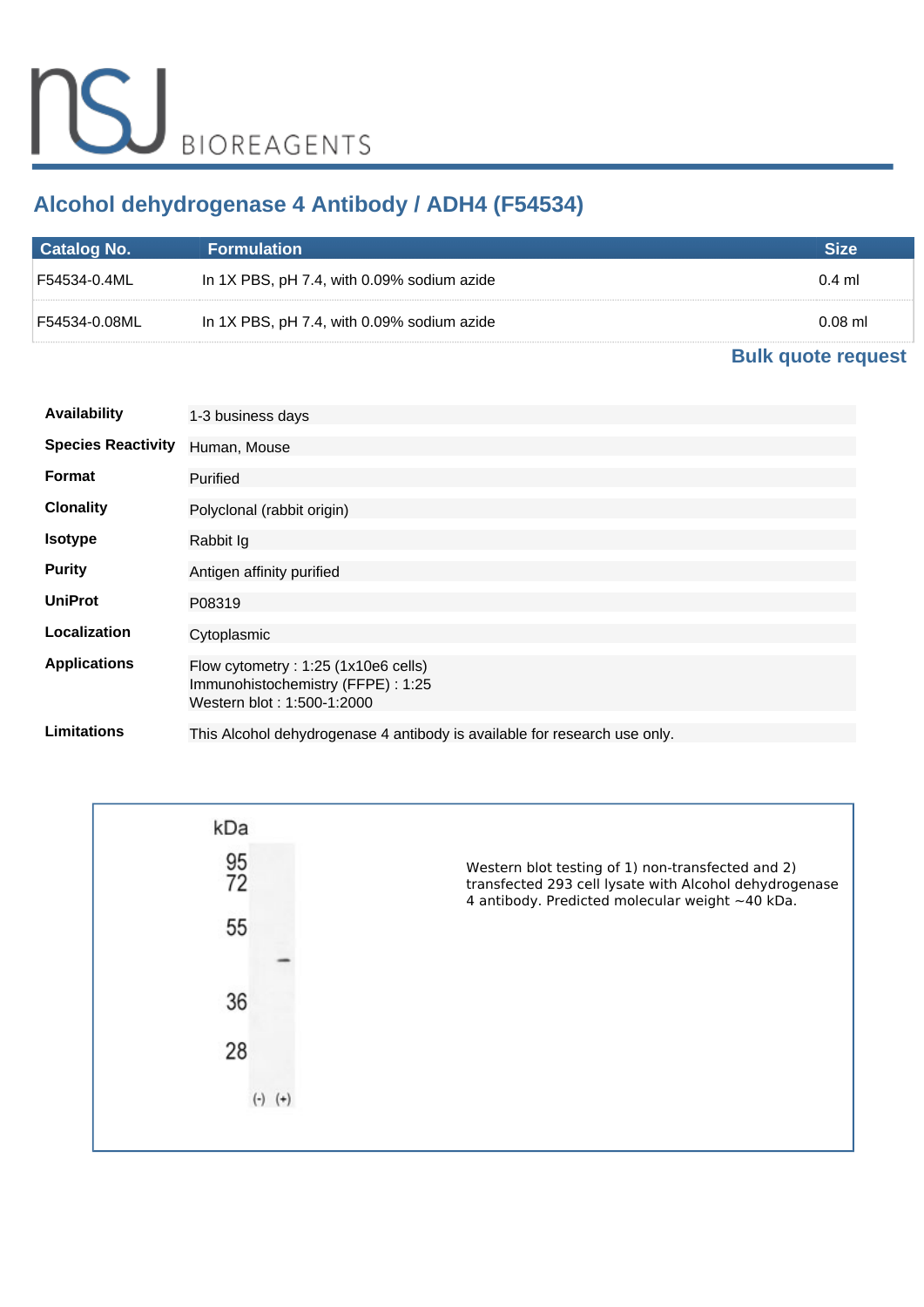# **Alcohol dehydrogenase 4 Antibody / ADH4 (F54534)**

| Catalog No.     | <b>Formulation</b>                         | Size      |
|-----------------|--------------------------------------------|-----------|
| F54534-0.4ML !! | In 1X PBS, pH 7.4, with 0.09% sodium azide | $0.4$ ml  |
| l F54534-0.08ML | In 1X PBS, pH 7.4, with 0.09% sodium azide | $0.08$ ml |

## **[Bulk quote request](https://www.nsjbio.com/bulk_quotereq.php?root_cat_no=F54534)**

| <b>Availability</b>       | 1-3 business days                                                                                      |
|---------------------------|--------------------------------------------------------------------------------------------------------|
| <b>Species Reactivity</b> | Human, Mouse                                                                                           |
| Format                    | Purified                                                                                               |
| <b>Clonality</b>          | Polyclonal (rabbit origin)                                                                             |
| <b>Isotype</b>            | Rabbit Ig                                                                                              |
| <b>Purity</b>             | Antigen affinity purified                                                                              |
| <b>UniProt</b>            | P08319                                                                                                 |
| Localization              | Cytoplasmic                                                                                            |
| <b>Applications</b>       | Flow cytometry: 1:25 (1x10e6 cells)<br>Immunohistochemistry (FFPE): 1:25<br>Western blot: 1:500-1:2000 |
| Limitations               | This Alcohol dehydrogenase 4 antibody is available for research use only.                              |

| kDa      |             |                                                                                                                                                                |
|----------|-------------|----------------------------------------------------------------------------------------------------------------------------------------------------------------|
| 95<br>72 |             | Western blot testing of 1) non-transfected and 2)<br>transfected 293 cell lysate with Alcohol dehydrogenase<br>4 antibody. Predicted molecular weight ~40 kDa. |
| 55       |             |                                                                                                                                                                |
|          |             |                                                                                                                                                                |
| 36       |             |                                                                                                                                                                |
| 28       |             |                                                                                                                                                                |
|          | $(-)$ $(+)$ |                                                                                                                                                                |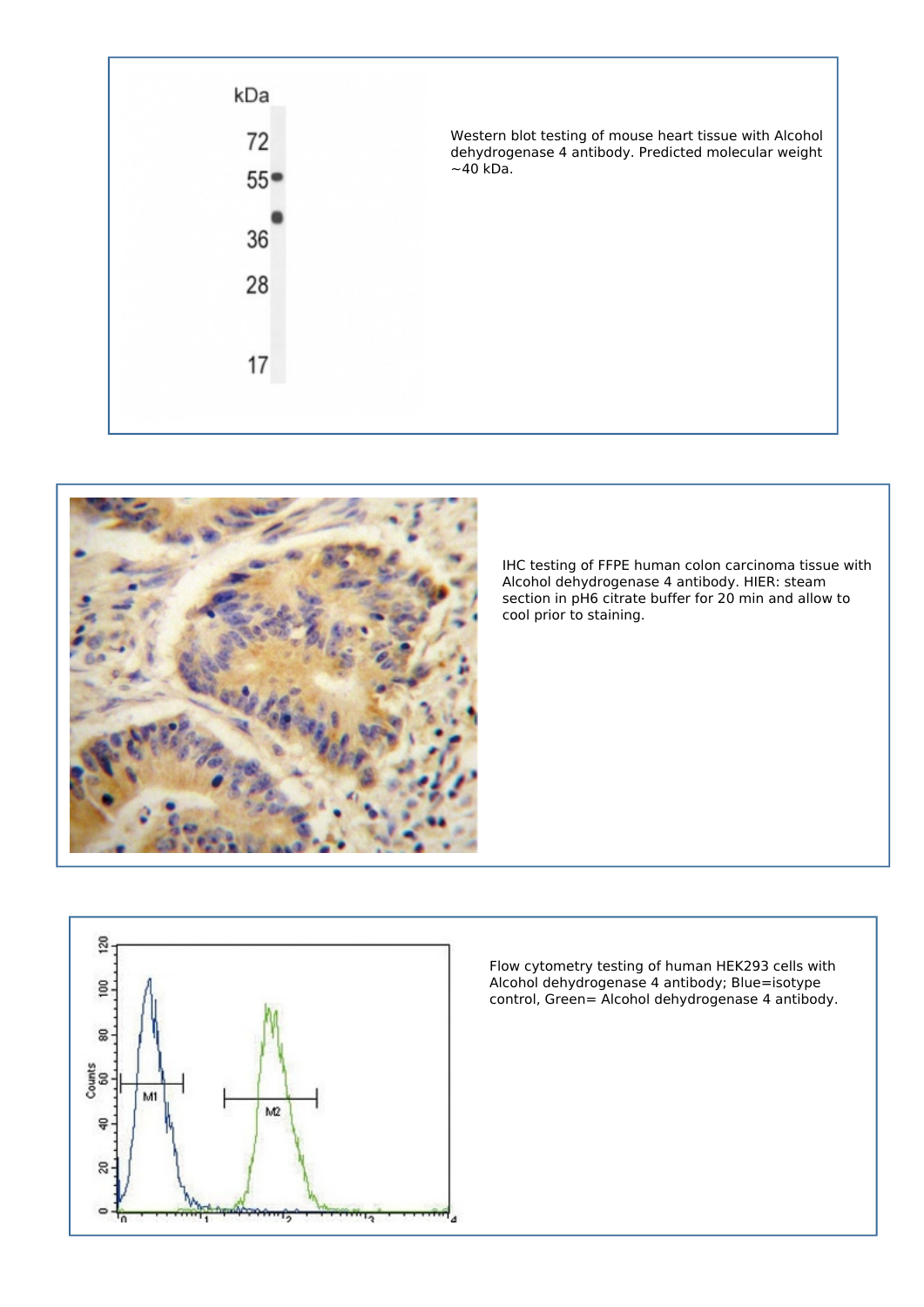



*IHC testing of FFPE human colon carcinoma tissue with Alcohol dehydrogenase 4 antibody. HIER: steam section in pH6 citrate buffer for 20 min and allow to cool prior to staining.*



*Flow cytometry testing of human HEK293 cells with Alcohol dehydrogenase 4 antibody; Blue=isotype control, Green= Alcohol dehydrogenase 4 antibody.*